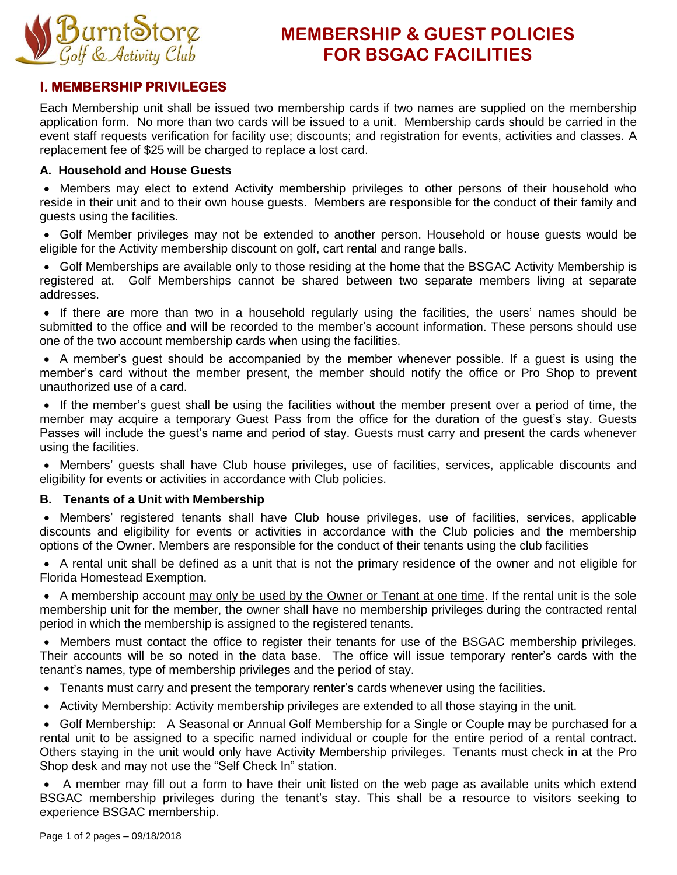

# **MEMBERSHIP & GUEST POLICIES FOR BSGAC FACILITIES**

## **I. MEMBERSHIP PRIVILEGES**

Each Membership unit shall be issued two membership cards if two names are supplied on the membership application form. No more than two cards will be issued to a unit. Membership cards should be carried in the event staff requests verification for facility use; discounts; and registration for events, activities and classes. A replacement fee of \$25 will be charged to replace a lost card.

### **A. Household and House Guests**

 Members may elect to extend Activity membership privileges to other persons of their household who reside in their unit and to their own house guests. Members are responsible for the conduct of their family and guests using the facilities.

 Golf Member privileges may not be extended to another person. Household or house guests would be eligible for the Activity membership discount on golf, cart rental and range balls.

 Golf Memberships are available only to those residing at the home that the BSGAC Activity Membership is registered at. Golf Memberships cannot be shared between two separate members living at separate addresses.

 If there are more than two in a household regularly using the facilities, the users' names should be submitted to the office and will be recorded to the member's account information. These persons should use one of the two account membership cards when using the facilities.

 A member's guest should be accompanied by the member whenever possible. If a guest is using the member's card without the member present, the member should notify the office or Pro Shop to prevent unauthorized use of a card.

 If the member's guest shall be using the facilities without the member present over a period of time, the member may acquire a temporary Guest Pass from the office for the duration of the guest's stay. Guests Passes will include the guest's name and period of stay. Guests must carry and present the cards whenever using the facilities.

 Members' guests shall have Club house privileges, use of facilities, services, applicable discounts and eligibility for events or activities in accordance with Club policies.

## **B. Tenants of a Unit with Membership**

 Members' registered tenants shall have Club house privileges, use of facilities, services, applicable discounts and eligibility for events or activities in accordance with the Club policies and the membership options of the Owner. Members are responsible for the conduct of their tenants using the club facilities

 A rental unit shall be defined as a unit that is not the primary residence of the owner and not eligible for Florida Homestead Exemption.

• A membership account may only be used by the Owner or Tenant at one time. If the rental unit is the sole membership unit for the member, the owner shall have no membership privileges during the contracted rental period in which the membership is assigned to the registered tenants.

 Members must contact the office to register their tenants for use of the BSGAC membership privileges. Their accounts will be so noted in the data base. The office will issue temporary renter's cards with the tenant's names, type of membership privileges and the period of stay.

- Tenants must carry and present the temporary renter's cards whenever using the facilities.
- Activity Membership: Activity membership privileges are extended to all those staying in the unit.

 Golf Membership: A Seasonal or Annual Golf Membership for a Single or Couple may be purchased for a rental unit to be assigned to a specific named individual or couple for the entire period of a rental contract. Others staying in the unit would only have Activity Membership privileges. Tenants must check in at the Pro Shop desk and may not use the "Self Check In" station.

 A member may fill out a form to have their unit listed on the web page as available units which extend BSGAC membership privileges during the tenant's stay. This shall be a resource to visitors seeking to experience BSGAC membership.